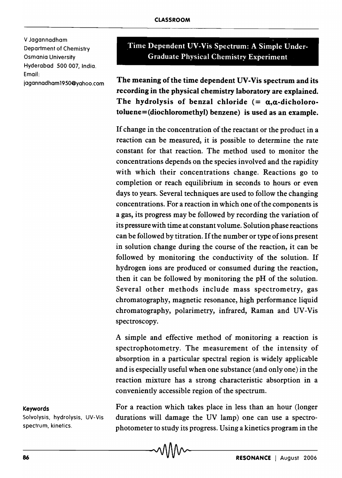V Jagannadham Department of Chemistry Osmania University Hyderabad 500 007, India. Email:

jagannadham 19 50@yahoo.com

Time Dependent UV-Vis Spectrum: A Simple Under-Graduate Physical Chemistry Experiment

The meaning of the time dependent UV -Vis spectrum and its recording in the physical chemistry laboratory are explained. The hydrolysis of benzal chloride  $(=\alpha,\alpha$ -dicholorotoluene = (diochloromethyl) benzene) is used as an example.

If change in the concentration of the reactant or the product in a reaction can be measured, it is possible to determine the rate constant for that reaction. The method used to monitor the concentrations depends on the species involved and the rapidity with which their concentrations change. Reactions go to completion or reach equilibrium in seconds to hours or even days to years. Several techniques are used to follow the changing concentrations. For a reaction in which one of the components is a gas, its progress may be followed by recording the variation of its pressure with time at constant volume. Solution phase reactions can be followed by titration. If the number or type of ions present in solution change during the course of the reaction, it can be followed by monitoring the conductivity of the solution. If hydrogen ions are produced or consumed during the reaction, then it can be followed by monitoring the pH of the solution. Several other methods include mass spectrometry, gas chromatography, magnetic resonance, high performance liquid chromatography, polarimetry, infrared, Raman and UV -Vis spectroscopy.

A simple and effective method of monitoring a reaction is spectrophotometry. The measurement of the intensity of absorption in a particular spectral region is widely applicable and is especially useful when one substance (and only one) in the reaction mixture has a strong characteristic absorption in a conveniently accessible region of the spectrum.

## Keywords

Solvolysis, hydrolysis, UV-Vis spectrum, kinetics.

For a reaction which takes place in less than an hour (longer durations will damage the UV lamp) one can use a spectrophotometer to study its progress. Using a kinetics program in the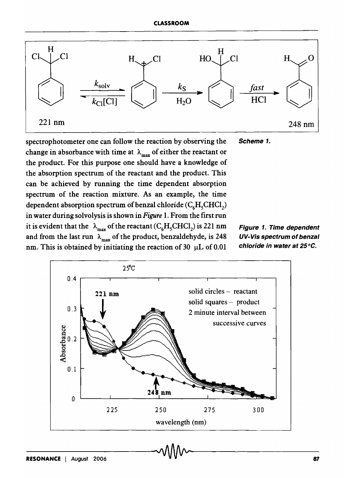

spectrophotometer one can follow the reaction by observing the Scheme 1. change in absorbance with time at  $\lambda_{\text{max}}$  of either the reactant or the product. For this purpose one should have a knowledge of the absorption spectrum of the reactant and the product. This can be achieved by running the time dependent absorption spectrum of the reaction mixture. As an example, the time dependent absorption spectrum of benzal chloride ( $\mathrm{C}_6\mathrm{H}_5\mathrm{CHCl}_2$ ) in water during solvolysis is shown in *Figure* 1. From the first run it is evident that the  $\lambda_{\text{max}}$  of the reactant (C<sub>6</sub>H<sub>5</sub>CHCl<sub>2</sub>) is 221 nm and from the last run  $\lambda_{\text{max}}$  of the product, benzaldehyde, is 248 nm. This is obtained by initiating the reaction of 30  $\mu$ L of 0.01

Figure 1. Time dependent UV-Vis spectrum of benzal chloride in water at 25°C.

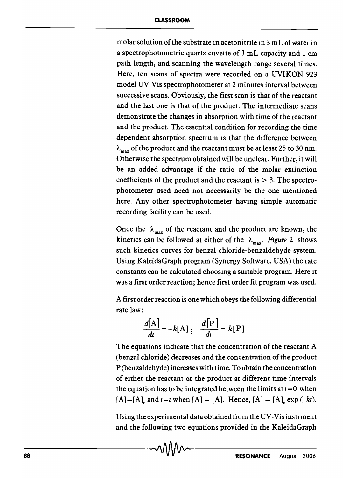molar solution of the substrate in acetonitrile in 3 mL of water in a spectrophotometric quartz cuvette of 3 mL capacity and 1 cm path length, and scanning the wavelength range several times. Here, ten scans of spectra were recorded on a UVIKON 923 model UV -Vis spectrophotometer at 2 minutes interval between successive scans. Obviously, the first scan is that of the reactant and the last one is that of the product. The intermediate scans demonstrate the changes in absorption with time of the reactant and the product. The essential condition for recording the time dependent absorption spectrum is that the difference between  $\lambda_{\text{max}}$  of the product and the reactant must be at least 25 to 30 nm. Otherwise the spectrum obtained will be unclear. Further, it will be an added advantage if the ratio of the molar extinction coefficients of the product and the reactant is  $> 3$ . The spectrophotometer used need not necessarily be the one mentioned here. Any other spectrophotometer having simple automatic recording facility can be used.

Once the  $\lambda_{\text{max}}$  of the reactant and the product are known, the kinetics can be followed at either of the  $\lambda_{\text{max}}$ . *Figure* 2 shows such kinetics curves for benzal chloride-benzaldehyde system. Using KaleidaGraph program (Synergy Software, USA) the rate constants can be calculated choosing a suitable program. Here it was a first order reaction; hence first order fit program was used.

A first order reaction is one which obeys the following differential rate law:

$$
\frac{d[A]}{dt} = -k[A] \, ; \quad \frac{d[P]}{dt} = k[P]
$$

The equations indicate that the concentration of the reactant A (benzal chloride) decreases and the concentration of the product P (benzaldehyde) increases with time. To obtain the concentration of either the reactant or the product at different time intervals the equation has to be integrated between the limits at  $t=0$  when  $[A] = [A]_o$  and  $t = t$  when  $[A] = [A]_o$ . Hence,  $[A] = [A]_o$  exp  $(-kt)$ .

Using the experimental data obtained from the UV-Vis instrment and the following two equations provided in the KaleidaGraph